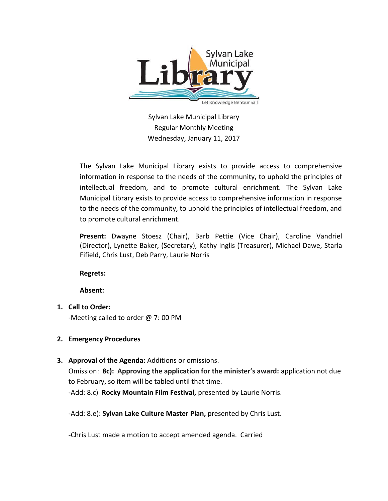

Sylvan Lake Municipal Library Regular Monthly Meeting Wednesday, January 11, 2017

The Sylvan Lake Municipal Library exists to provide access to comprehensive information in response to the needs of the community, to uphold the principles of intellectual freedom, and to promote cultural enrichment. The Sylvan Lake Municipal Library exists to provide access to comprehensive information in response to the needs of the community, to uphold the principles of intellectual freedom, and to promote cultural enrichment.

**Present:** Dwayne Stoesz (Chair), Barb Pettie (Vice Chair), Caroline Vandriel (Director), Lynette Baker, (Secretary), Kathy Inglis (Treasurer), Michael Dawe, Starla Fifield, Chris Lust, Deb Parry, Laurie Norris

**Regrets:** 

**Absent:**

**1. Call to Order:** 

-Meeting called to order @ 7: 00 PM

# **2. Emergency Procedures**

# **3. Approval of the Agenda:** Additions or omissions.

Omission: **8c): Approving the application for the minister's award:** application not due to February, so item will be tabled until that time.

-Add: 8.c) **Rocky Mountain Film Festival,** presented by Laurie Norris.

-Add: 8.e): **Sylvan Lake Culture Master Plan,** presented by Chris Lust.

-Chris Lust made a motion to accept amended agenda. Carried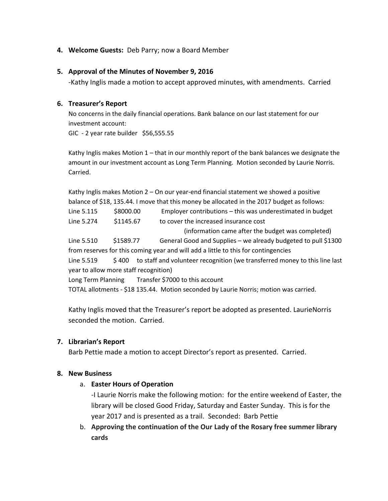### **4. Welcome Guests:** Deb Parry; now a Board Member

#### **5. Approval of the Minutes of November 9, 2016**

-Kathy Inglis made a motion to accept approved minutes, with amendments. Carried

### **6. Treasurer's Report**

No concerns in the daily financial operations. Bank balance on our last statement for our investment account: GIC - 2 year rate builder \$56,555.55

Kathy Inglis makes Motion 1 – that in our monthly report of the bank balances we designate the amount in our investment account as Long Term Planning. Motion seconded by Laurie Norris. Carried.

Kathy Inglis makes Motion 2 – On our year-end financial statement we showed a positive balance of \$18, 135.44. I move that this money be allocated in the 2017 budget as follows: Line 5.115 \$8000.00 Employer contributions – this was underestimated in budget Line 5.274 \$1145.67 to cover the increased insurance cost (information came after the budget was completed) Line 5.510 \$1589.77 General Good and Supplies – we already budgeted to pull \$1300 from reserves for this coming year and will add a little to this for contingencies Line 5.519 \$400 to staff and volunteer recognition (we transferred money to this line last year to allow more staff recognition) Long Term Planning Transfer \$7000 to this account TOTAL allotments - \$18 135.44. Motion seconded by Laurie Norris; motion was carried.

Kathy Inglis moved that the Treasurer's report be adopted as presented. LaurieNorris seconded the motion. Carried.

# **7. Librarian's Report**

Barb Pettie made a motion to accept Director's report as presented. Carried.

#### **8. New Business**

#### a. **Easter Hours of Operation**

-I Laurie Norris make the following motion: for the entire weekend of Easter, the library will be closed Good Friday, Saturday and Easter Sunday. This is for the year 2017 and is presented as a trail. Seconded: Barb Pettie

b. **Approving the continuation of the Our Lady of the Rosary free summer library cards**